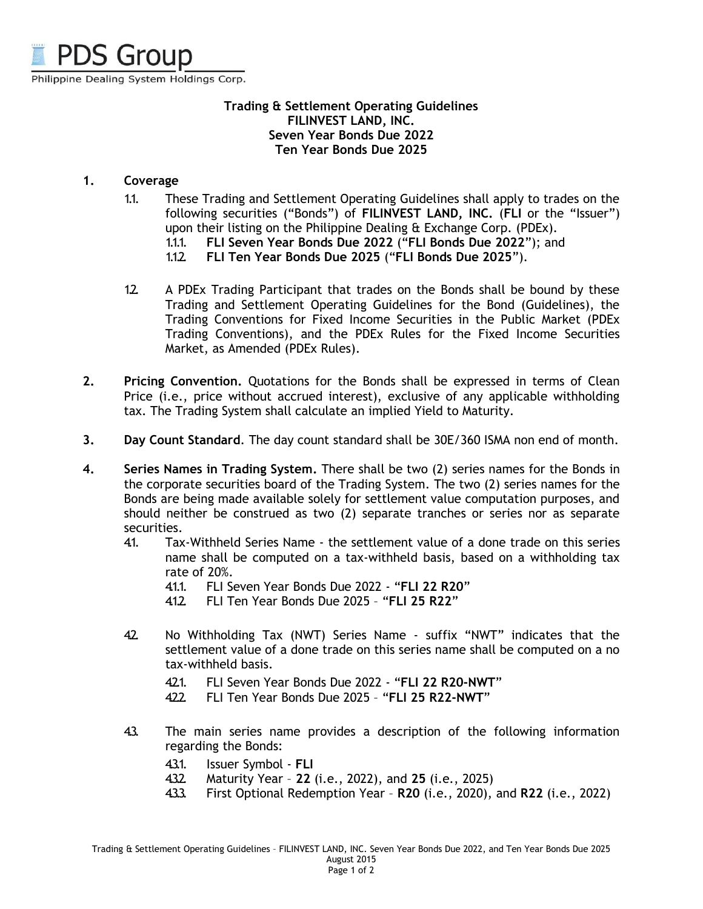

# **Trading & Settlement Operating Guidelines FILINVEST LAND, INC. Seven Year Bonds Due 2022 Ten Year Bonds Due 2025**

# **1. Coverage**

- 1.1. These Trading and Settlement Operating Guidelines shall apply to trades on the following securities ("Bonds") of **FILINVEST LAND, INC.** (**FLI** or the "Issuer") upon their listing on the Philippine Dealing & Exchange Corp. (PDEx).
	- 1.1.1. **FLI Seven Year Bonds Due 2022** ("**FLI Bonds Due 2022**"); and
	- 1.1.2. **FLI Ten Year Bonds Due 2025** ("**FLI Bonds Due 2025**").
- 1.2. A PDEx Trading Participant that trades on the Bonds shall be bound by these Trading and Settlement Operating Guidelines for the Bond (Guidelines), the Trading Conventions for Fixed Income Securities in the Public Market (PDEx Trading Conventions), and the PDEx Rules for the Fixed Income Securities Market, as Amended (PDEx Rules).
- **2. Pricing Convention.** Quotations for the Bonds shall be expressed in terms of Clean Price (i.e., price without accrued interest), exclusive of any applicable withholding tax. The Trading System shall calculate an implied Yield to Maturity.
- **3. Day Count Standard**. The day count standard shall be 30E/360 ISMA non end of month.
- **4. Series Names in Trading System.** There shall be two (2) series names for the Bonds in the corporate securities board of the Trading System. The two (2) series names for the Bonds are being made available solely for settlement value computation purposes, and should neither be construed as two (2) separate tranches or series nor as separate securities.
	- 4.1. Tax-Withheld Series Name the settlement value of a done trade on this series name shall be computed on a tax-withheld basis, based on a withholding tax rate of 20%.
		- 4.1.1. FLI Seven Year Bonds Due 2022 "**FLI 22 R20**"
		- 4.1.2. FLI Ten Year Bonds Due 2025 "**FLI 25 R22**"
	- 42. No Withholding Tax (NWT) Series Name suffix "NWT" indicates that the settlement value of a done trade on this series name shall be computed on a no tax-withheld basis.
		- 4.2.1. FLI Seven Year Bonds Due 2022 "**FLI 22 R20-NWT**"
		- 4.2.2. FLI Ten Year Bonds Due 2025 "**FLI 25 R22-NWT**"
	- 4.3. The main series name provides a description of the following information regarding the Bonds:
		- 4.3.1. Issuer Symbol **FLI**
		- 4.3.2. Maturity Year **22** (i.e., 2022), and **25** (i.e., 2025)
		- 4.3.3. First Optional Redemption Year **R20** (i.e., 2020), and **R22** (i.e., 2022)